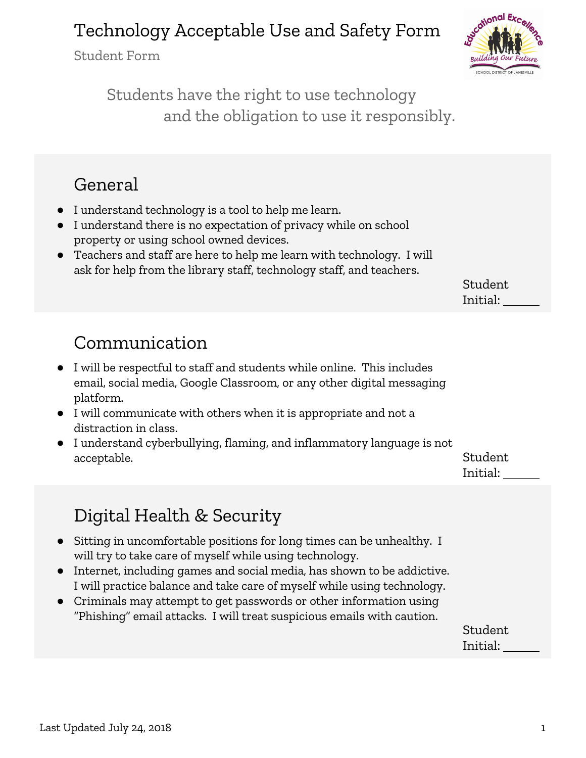Student Form



Students have the right to use technology and the obligation to use it responsibly.

#### General

- I understand technology is a tool to help me learn.
- I understand there is no expectation of privacy while on school property or using school owned devices.
- Teachers and staff are here to help me learn with technology. I will ask for help from the library staff, technology staff, and teachers.

Student Initial:

### Communication

- I will be respectful to staff and students while online. This includes email, social media, Google Classroom, or any other digital messaging platform.
- I will communicate with others when it is appropriate and not a distraction in class.
- I understand cyberbullying, flaming, and inflammatory language is not acceptable. Student is a set of the set of the set of the set of the set of the set of the set of the set of t

Initial:

# Digital Health & Security

- Sitting in uncomfortable positions for long times can be unhealthy. I will try to take care of myself while using technology.
- Internet, including games and social media, has shown to be addictive. I will practice balance and take care of myself while using technology.
- Criminals may attempt to get passwords or other information using "Phishing" email attacks. I will treat suspicious emails with caution.

Student Initial: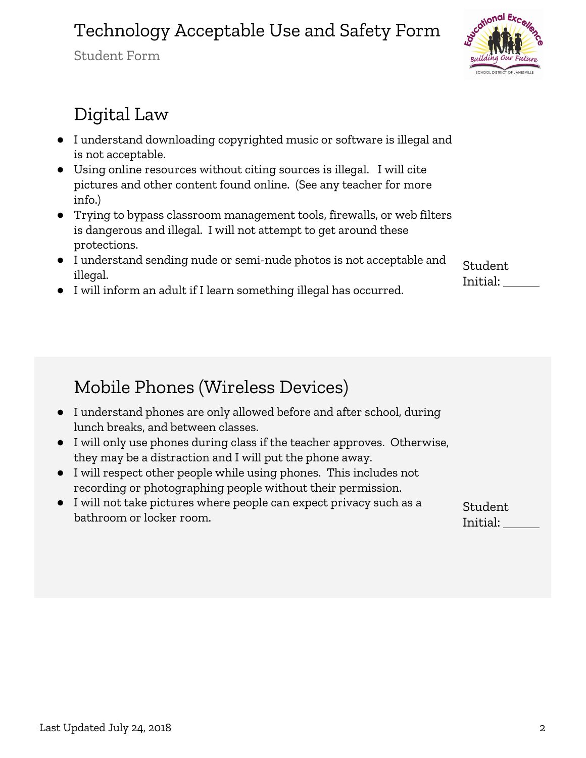Student Form



### Digital Law

- I understand downloading copyrighted music or software is illegal and is not acceptable.
- Using online resources without citing sources is illegal. I will cite pictures and other content found online. (See any teacher for more info.)
- Trying to bypass classroom management tools, firewalls, or web filters is dangerous and illegal. I will not attempt to get around these protections.
- I understand sending nude or semi-nude photos is not acceptable and illegal.

Student Initial:

● I will inform an adult if I learn something illegal has occurred.

### Mobile Phones (Wireless Devices)

- I understand phones are only allowed before and after school, during lunch breaks, and between classes.
- I will only use phones during class if the teacher approves. Otherwise, they may be a distraction and I will put the phone away.
- I will respect other people while using phones. This includes not recording or photographing people without their permission.
- I will not take pictures where people can expect privacy such as a bathroom or locker room.

Student Initial: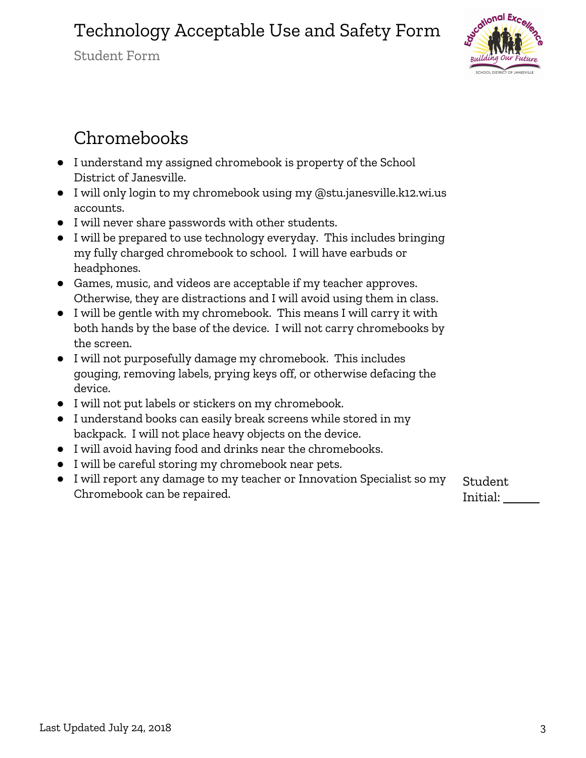Student Form



# Chromebooks

- I understand my assigned chromebook is property of the School District of Janesville.
- I will only login to my chromebook using my @stu.janesville.k12.wi.us accounts.
- I will never share passwords with other students.
- I will be prepared to use technology everyday. This includes bringing my fully charged chromebook to school. I will have earbuds or headphones.
- Games, music, and videos are acceptable if my teacher approves. Otherwise, they are distractions and I will avoid using them in class.
- I will be gentle with my chromebook. This means I will carry it with both hands by the base of the device. I will not carry chromebooks by the screen.
- I will not purposefully damage my chromebook. This includes gouging, removing labels, prying keys off, or otherwise defacing the device.
- I will not put labels or stickers on my chromebook.
- I understand books can easily break screens while stored in my backpack. I will not place heavy objects on the device.
- I will avoid having food and drinks near the chromebooks.
- I will be careful storing my chromebook near pets.
- I will report any damage to my teacher or Innovation Specialist so my Chromebook can be repaired.

Student Initial: